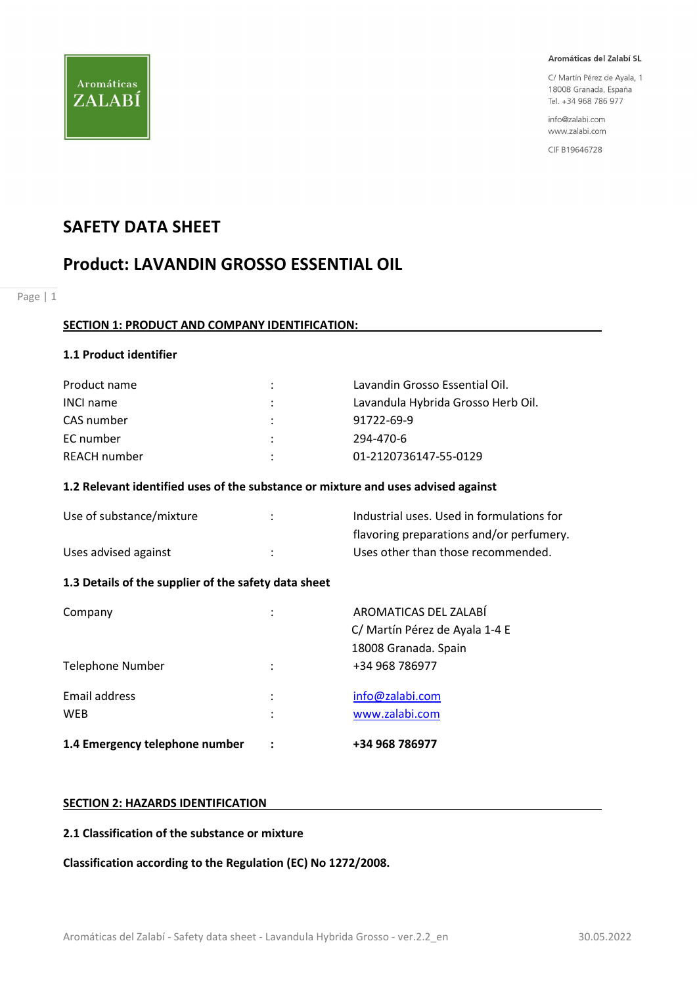

C/ Martín Pérez de Ayala, 1 18008 Granada, España Tel. +34 968 786 977

info@zalabi.com www.zalabi.com

CIF B19646728

# SAFETY DATA SHEET

# Product: LAVANDIN GROSSO ESSENTIAL OIL

Page | 1

## SECTION 1: PRODUCT AND COMPANY IDENTIFICATION:

## 1.1 Product identifier

| Product name     | ÷ | Lavandin Grosso Essential Oil.     |
|------------------|---|------------------------------------|
| <b>INCI name</b> |   | Lavandula Hybrida Grosso Herb Oil. |
| CAS number       | ÷ | 91722-69-9                         |
| EC number        | ÷ | 294-470-6                          |
| REACH number     | ٠ | 01-2120736147-55-0129              |

## 1.2 Relevant identified uses of the substance or mixture and uses advised against

| Use of substance/mixture | Industrial uses. Used in formulations for |
|--------------------------|-------------------------------------------|
|                          | flavoring preparations and/or perfumery.  |
| Uses advised against     | Uses other than those recommended.        |

# 1.3 Details of the supplier of the safety data sheet

| 1.4 Emergency telephone number |                      | +34 968 786977                                          |
|--------------------------------|----------------------|---------------------------------------------------------|
| Email address<br><b>WEB</b>    | ٠<br>٠               | info@zalabi.com<br>www.zalabi.com                       |
| Telephone Number               | $\ddot{\phantom{a}}$ | 18008 Granada. Spain<br>+34 968 786977                  |
| Company                        | ٠                    | AROMATICAS DEL ZALABÍ<br>C/ Martín Pérez de Ayala 1-4 E |

### SECTION 2: HAZARDS IDENTIFICATION

#### 2.1 Classification of the substance or mixture

Classification according to the Regulation (EC) No 1272/2008.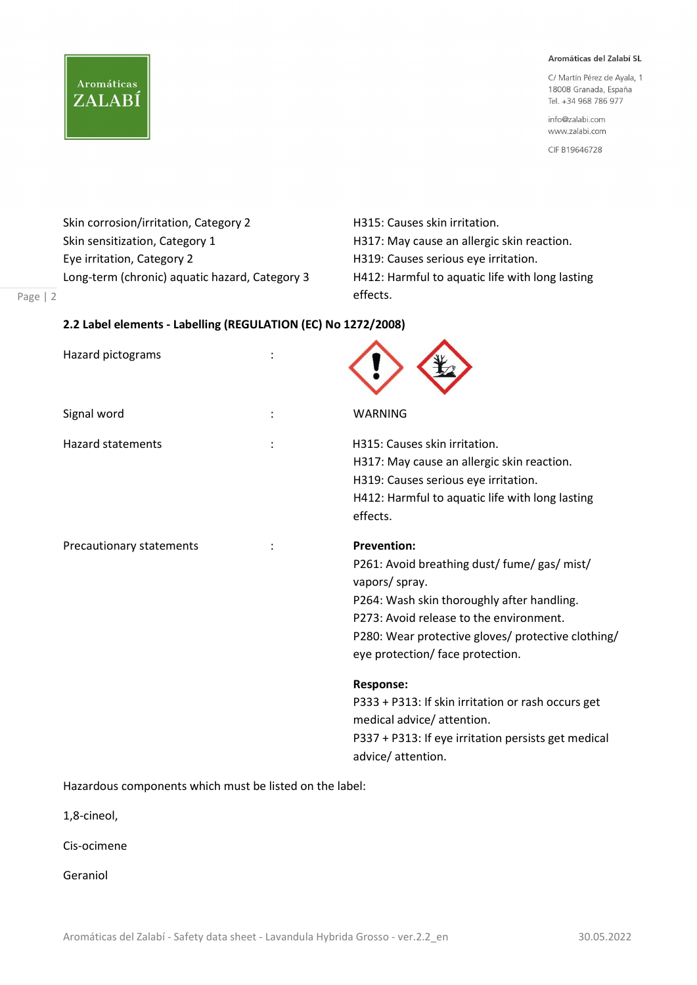C/ Martín Pérez de Ayala, 1 18008 Granada, España Tel. +34 968 786 977

info@zalabi.com www.zalabi.com

CIF B19646728

Skin corrosion/irritation, Category 2 **H315: Causes skin irritation**. Skin sensitization, Category 1 **H317:** May cause an allergic skin reaction. Eye irritation, Category 2 **H319:** Causes serious eye irritation. Long-term (chronic) aquatic hazard, Category 3 H412: Harmful to aquatic life with long lasting

**Aromáticas** 

ZALABÍ

effects.

# 2.2 Label elements - Labelling (REGULATION (EC) No 1272/2008)

| Hazard pictograms        |                                                                                                                                                                                                                                                                         |
|--------------------------|-------------------------------------------------------------------------------------------------------------------------------------------------------------------------------------------------------------------------------------------------------------------------|
| Signal word              | WARNING                                                                                                                                                                                                                                                                 |
| <b>Hazard statements</b> | H315: Causes skin irritation.<br>H317: May cause an allergic skin reaction.<br>H319: Causes serious eye irritation.<br>H412: Harmful to aquatic life with long lasting<br>effects.                                                                                      |
| Precautionary statements | <b>Prevention:</b><br>P261: Avoid breathing dust/ fume/ gas/ mist/<br>vapors/ spray.<br>P264: Wash skin thoroughly after handling.<br>P273: Avoid release to the environment.<br>P280: Wear protective gloves/ protective clothing/<br>eye protection/ face protection. |
|                          | <b>Response:</b><br>P333 + P313: If skin irritation or rash occurs get<br>medical advice/ attention.<br>P337 + P313: If eye irritation persists get medical<br>advice/attention.                                                                                        |

 $\blacktriangle$ 

Hazardous components which must be listed on the label:

1,8-cineol,

Page | 2

Cis-ocimene

Geraniol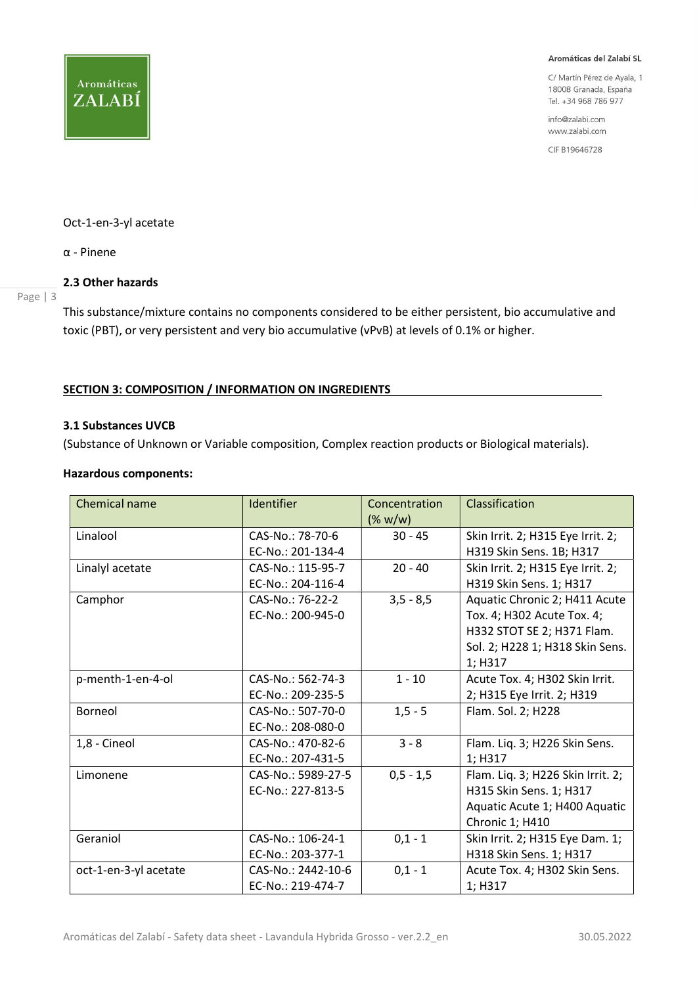

C/ Martín Pérez de Ayala, 1 18008 Granada, España Tel. +34 968 786 977

info@zalabi.com www.zalabi.com

CIF B19646728

#### Oct-1-en-3-yl acetate

α - Pinene

#### 2.3 Other hazards

Page | 3

This substance/mixture contains no components considered to be either persistent, bio accumulative and toxic (PBT), or very persistent and very bio accumulative (vPvB) at levels of 0.1% or higher.

## SECTION 3: COMPOSITION / INFORMATION ON INGREDIENTS

#### 3.1 Substances UVCB

(Substance of Unknown or Variable composition, Complex reaction products or Biological materials).

#### Hazardous components:

| <b>Chemical name</b>  | <b>Identifier</b>                       | Concentration<br>$(\% w/w)$ | Classification                                                                                                                          |
|-----------------------|-----------------------------------------|-----------------------------|-----------------------------------------------------------------------------------------------------------------------------------------|
| Linalool              | CAS-No.: 78-70-6<br>EC-No.: 201-134-4   | $30 - 45$                   | Skin Irrit. 2; H315 Eye Irrit. 2;<br>H319 Skin Sens. 1B; H317                                                                           |
| Linalyl acetate       | CAS-No.: 115-95-7<br>EC-No.: 204-116-4  | $20 - 40$                   | Skin Irrit. 2; H315 Eye Irrit. 2;<br>H319 Skin Sens. 1; H317                                                                            |
| Camphor               | CAS-No.: 76-22-2<br>EC-No.: 200-945-0   | $3,5 - 8,5$                 | Aquatic Chronic 2; H411 Acute<br>Tox. 4; H302 Acute Tox. 4;<br>H332 STOT SE 2; H371 Flam.<br>Sol. 2; H228 1; H318 Skin Sens.<br>1; H317 |
| p-menth-1-en-4-ol     | CAS-No.: 562-74-3<br>EC-No.: 209-235-5  | $1 - 10$                    | Acute Tox. 4; H302 Skin Irrit.<br>2; H315 Eye Irrit. 2; H319                                                                            |
| Borneol               | CAS-No.: 507-70-0<br>EC-No.: 208-080-0  | $1, 5 - 5$                  | Flam. Sol. 2; H228                                                                                                                      |
| 1,8 - Cineol          | CAS-No.: 470-82-6<br>EC-No.: 207-431-5  | $3 - 8$                     | Flam. Liq. 3; H226 Skin Sens.<br>1; H317                                                                                                |
| Limonene              | CAS-No.: 5989-27-5<br>EC-No.: 227-813-5 | $0,5 - 1,5$                 | Flam. Liq. 3; H226 Skin Irrit. 2;<br>H315 Skin Sens. 1; H317<br>Aquatic Acute 1; H400 Aquatic<br>Chronic 1; H410                        |
| Geraniol              | CAS-No.: 106-24-1<br>EC-No.: 203-377-1  | $0,1 - 1$                   | Skin Irrit. 2; H315 Eye Dam. 1;<br>H318 Skin Sens. 1; H317                                                                              |
| oct-1-en-3-yl acetate | CAS-No.: 2442-10-6<br>EC-No.: 219-474-7 | $0,1 - 1$                   | Acute Tox. 4; H302 Skin Sens.<br>1; H317                                                                                                |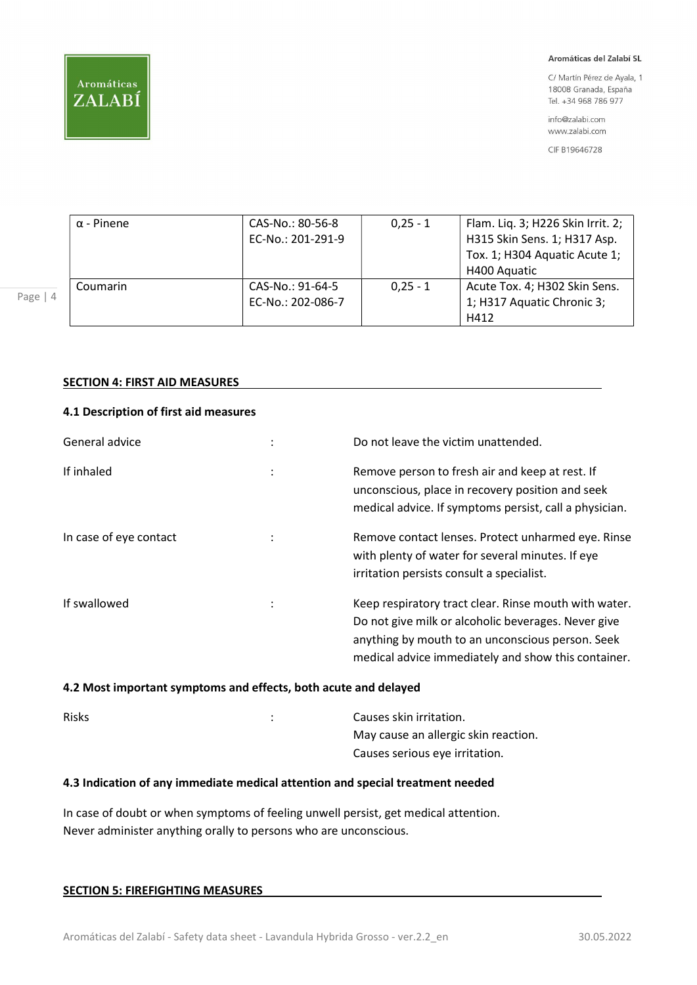

C/ Martín Pérez de Ayala, 1 18008 Granada, España Tel. +34 968 786 977

info@zalabi.com www.zalabi.com

CIF B19646728

| $\alpha$ - Pinene | CAS-No.: 80-56-8  | $0,25 - 1$ | Flam. Liq. 3; H226 Skin Irrit. 2; |
|-------------------|-------------------|------------|-----------------------------------|
|                   | EC-No.: 201-291-9 |            | H315 Skin Sens. 1; H317 Asp.      |
|                   |                   |            | Tox. 1; H304 Aquatic Acute 1;     |
|                   |                   |            | H400 Aquatic                      |
| Coumarin          | CAS-No.: 91-64-5  | $0.25 - 1$ | Acute Tox. 4; H302 Skin Sens.     |
|                   | EC-No.: 202-086-7 |            | 1; H317 Aquatic Chronic 3;        |
|                   |                   |            | H412                              |

## SECTION 4: FIRST AID MEASURES

# 4.1 Description of first aid measures

| General advice         |                | Do not leave the victim unattended.                                                                                                                                                                                     |
|------------------------|----------------|-------------------------------------------------------------------------------------------------------------------------------------------------------------------------------------------------------------------------|
| If inhaled             | $\ddot{\cdot}$ | Remove person to fresh air and keep at rest. If<br>unconscious, place in recovery position and seek<br>medical advice. If symptoms persist, call a physician.                                                           |
| In case of eye contact |                | Remove contact lenses. Protect unharmed eye. Rinse<br>with plenty of water for several minutes. If eye<br>irritation persists consult a specialist.                                                                     |
| If swallowed           |                | Keep respiratory tract clear. Rinse mouth with water.<br>Do not give milk or alcoholic beverages. Never give<br>anything by mouth to an unconscious person. Seek<br>medical advice immediately and show this container. |

## 4.2 Most important symptoms and effects, both acute and delayed

| <b>Risks</b> | Causes skin irritation.              |
|--------------|--------------------------------------|
|              | May cause an allergic skin reaction. |
|              | Causes serious eye irritation.       |

#### 4.3 Indication of any immediate medical attention and special treatment needed

In case of doubt or when symptoms of feeling unwell persist, get medical attention. Never administer anything orally to persons who are unconscious.

| <b>SECTION 5: FIREFIGHTING MEASURES</b> |
|-----------------------------------------|
|-----------------------------------------|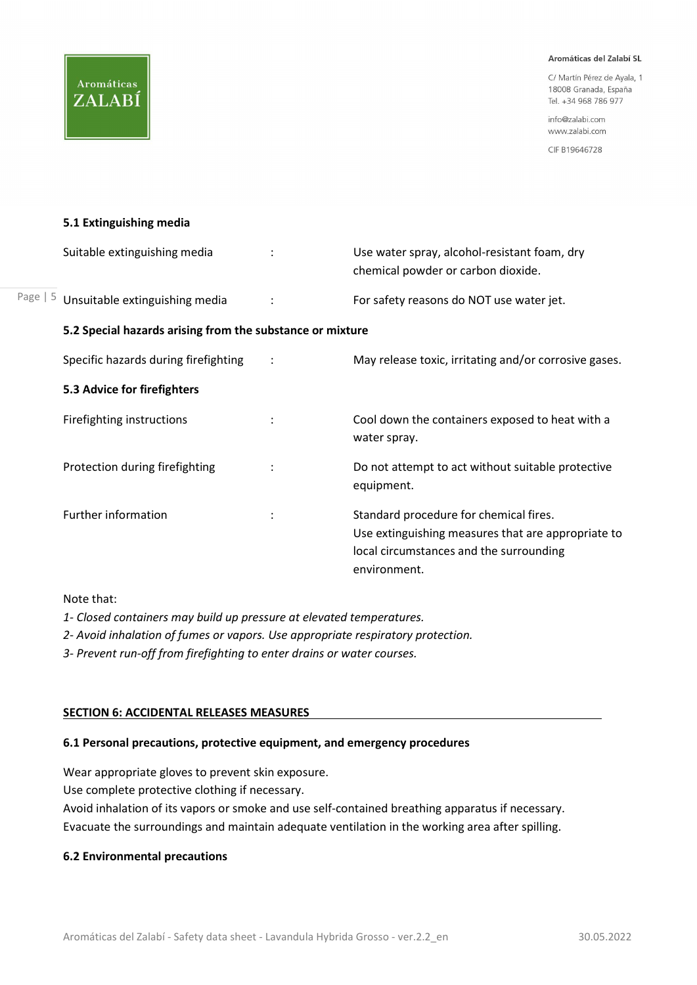C/ Martín Pérez de Ayala, 1 18008 Granada, España Tel. +34 968 786 977

info@zalabi.com www.zalabi.com

CIF B19646728

#### 5.1 Extinguishing media

|            | Suitable extinguishing media                              |                | Use water spray, alcohol-resistant foam, dry<br>chemical powder or carbon dioxide.                                                                      |
|------------|-----------------------------------------------------------|----------------|---------------------------------------------------------------------------------------------------------------------------------------------------------|
| Page $  5$ | Unsuitable extinguishing media                            |                | For safety reasons do NOT use water jet.                                                                                                                |
|            | 5.2 Special hazards arising from the substance or mixture |                |                                                                                                                                                         |
|            | Specific hazards during firefighting                      |                | May release toxic, irritating and/or corrosive gases.                                                                                                   |
|            | 5.3 Advice for firefighters                               |                |                                                                                                                                                         |
|            | Firefighting instructions                                 | $\ddot{\cdot}$ | Cool down the containers exposed to heat with a<br>water spray.                                                                                         |
|            | Protection during firefighting                            |                | Do not attempt to act without suitable protective<br>equipment.                                                                                         |
|            | Further information                                       |                | Standard procedure for chemical fires.<br>Use extinguishing measures that are appropriate to<br>local circumstances and the surrounding<br>environment. |

Note that:

1- Closed containers may build up pressure at elevated temperatures.

2- Avoid inhalation of fumes or vapors. Use appropriate respiratory protection.

3- Prevent run-off from firefighting to enter drains or water courses.

#### SECTION 6: ACCIDENTAL RELEASES MEASURES

#### 6.1 Personal precautions, protective equipment, and emergency procedures

Wear appropriate gloves to prevent skin exposure.

Use complete protective clothing if necessary.

Avoid inhalation of its vapors or smoke and use self-contained breathing apparatus if necessary. Evacuate the surroundings and maintain adequate ventilation in the working area after spilling.

#### 6.2 Environmental precautions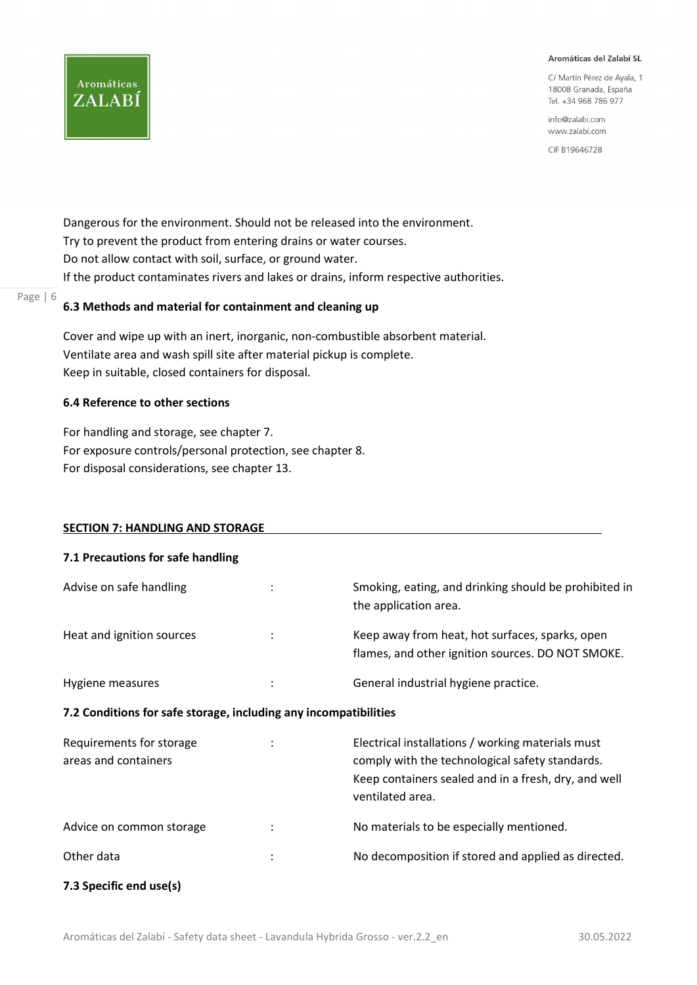C/ Martín Pérez de Ayala, 1 18008 Granada, España Tel. +34 968 786 977

info@zalabi.com www.zalabi.com

CIF B19646728

Dangerous for the environment. Should not be released into the environment. Try to prevent the product from entering drains or water courses. Do not allow contact with soil, surface, or ground water. If the product contaminates rivers and lakes or drains, inform respective authorities.

## 6.3 Methods and material for containment and cleaning up

Cover and wipe up with an inert, inorganic, non-combustible absorbent material. Ventilate area and wash spill site after material pickup is complete. Keep in suitable, closed containers for disposal.

## 6.4 Reference to other sections

**Aromáticas** 

ZALABÍ

Page | 6

For handling and storage, see chapter 7. For exposure controls/personal protection, see chapter 8. For disposal considerations, see chapter 13.

#### SECTION 7: HANDLING AND STORAGE

| 7.1 Precautions for safe handling                                |                                                                                                                                                                                  |
|------------------------------------------------------------------|----------------------------------------------------------------------------------------------------------------------------------------------------------------------------------|
| Advise on safe handling                                          | Smoking, eating, and drinking should be prohibited in<br>the application area.                                                                                                   |
| Heat and ignition sources                                        | Keep away from heat, hot surfaces, sparks, open<br>flames, and other ignition sources. DO NOT SMOKE.                                                                             |
| Hygiene measures                                                 | General industrial hygiene practice.                                                                                                                                             |
| 7.2 Conditions for safe storage, including any incompatibilities |                                                                                                                                                                                  |
| Requirements for storage<br>areas and containers                 | Electrical installations / working materials must<br>comply with the technological safety standards.<br>Keep containers sealed and in a fresh, dry, and well<br>ventilated area. |
| Advice on common storage                                         | No materials to be especially mentioned.                                                                                                                                         |
| Other data                                                       | No decomposition if stored and applied as directed.                                                                                                                              |
| 7.3 Specific end use(s)                                          |                                                                                                                                                                                  |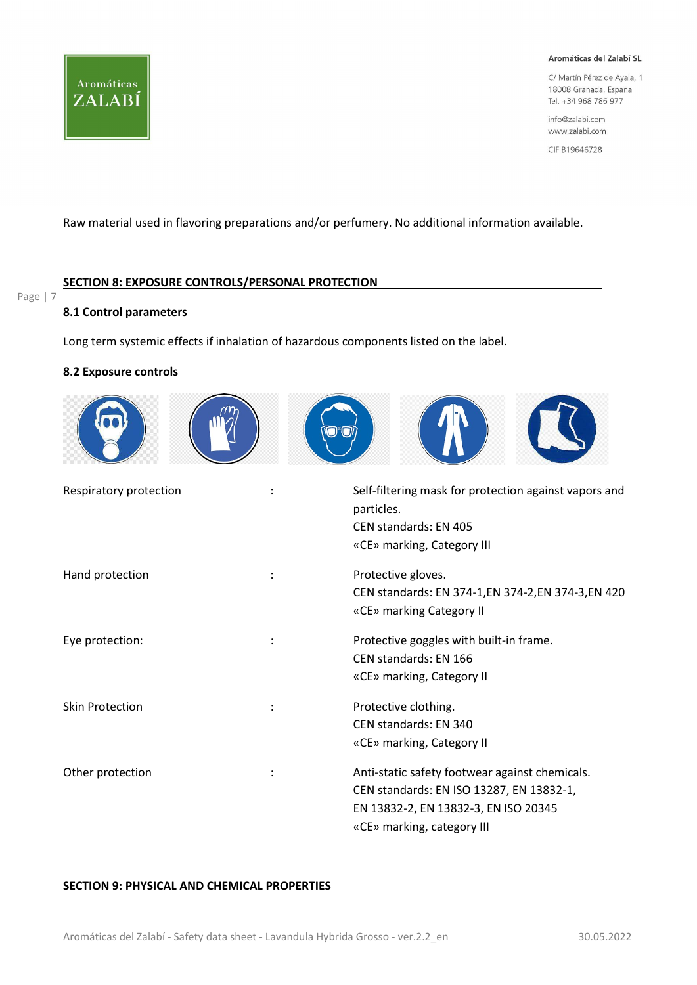

C/ Martín Pérez de Ayala, 1 18008 Granada, España Tel. +34 968 786 977

info@zalabi.com www.zalabi.com

CIF B19646728

Raw material used in flavoring preparations and/or perfumery. No additional information available.

## SECTION 8: EXPOSURE CONTROLS/PERSONAL PROTECTION

# Page | 7

## 8.1 Control parameters

Long term systemic effects if inhalation of hazardous components listed on the label.

#### 8.2 Exposure controls



| Respiratory protection | Self-filtering mask for protection against vapors and<br>particles.<br>CEN standards: EN 405<br>«CE» marking, Category III                                       |
|------------------------|------------------------------------------------------------------------------------------------------------------------------------------------------------------|
| Hand protection        | Protective gloves.<br>CEN standards: EN 374-1, EN 374-2, EN 374-3, EN 420<br>«CE» marking Category II                                                            |
| Eye protection:        | Protective goggles with built-in frame.<br>CEN standards: EN 166<br>«CE» marking, Category II                                                                    |
| <b>Skin Protection</b> | Protective clothing.<br>CEN standards: EN 340<br>«CE» marking, Category II                                                                                       |
| Other protection       | Anti-static safety footwear against chemicals.<br>CEN standards: EN ISO 13287, EN 13832-1,<br>EN 13832-2, EN 13832-3, EN ISO 20345<br>«CE» marking, category III |

## SECTION 9: PHYSICAL AND CHEMICAL PROPERTIES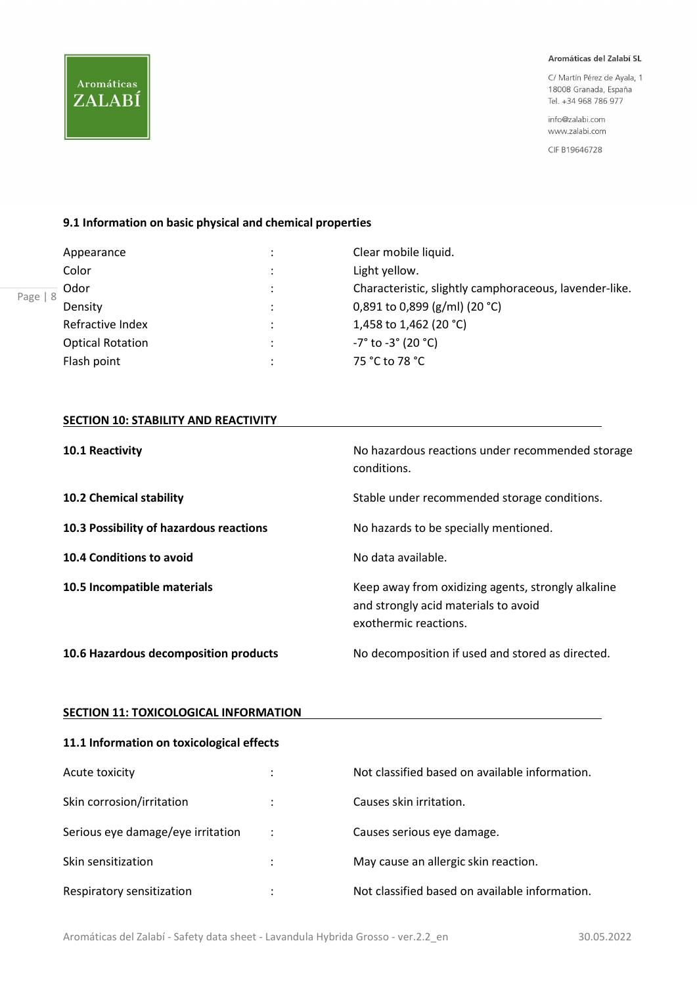C/ Martín Pérez de Ayala, 1 18008 Granada, España Tel. +34 968 786 977

info@zalabi.com www.zalabi.com

CIF B19646728

#### 9.1 Information on basic physical and chemical properties

|         | Clear mobile liquid.                                   |  |
|---------|--------------------------------------------------------|--|
|         | Light yellow.                                          |  |
|         | Characteristic, slightly camphoraceous, lavender-like. |  |
|         | 0,891 to 0,899 (g/ml) (20 °C)                          |  |
| $\cdot$ | 1,458 to 1,462 (20 °C)                                 |  |
|         | $-7^{\circ}$ to $-3^{\circ}$ (20 $^{\circ}$ C)         |  |
|         | 75 °C to 78 °C                                         |  |
|         |                                                        |  |

#### **SECTION 10: STABILITY AND REACTIVITY**

| 10.1 Reactivity                         | No hazardous reactions under recommended storage<br>conditions.                                                     |
|-----------------------------------------|---------------------------------------------------------------------------------------------------------------------|
| <b>10.2 Chemical stability</b>          | Stable under recommended storage conditions.                                                                        |
| 10.3 Possibility of hazardous reactions | No hazards to be specially mentioned.                                                                               |
| 10.4 Conditions to avoid                | No data available.                                                                                                  |
| 10.5 Incompatible materials             | Keep away from oxidizing agents, strongly alkaline<br>and strongly acid materials to avoid<br>exothermic reactions. |
| 10.6 Hazardous decomposition products   | No decomposition if used and stored as directed.                                                                    |

#### **SECTION 11: TOXICOLOGICAL INFORMATION**

#### 11.1 Information on toxicological effects

| Acute toxicity                    | ٠ | Not classified based on available information. |
|-----------------------------------|---|------------------------------------------------|
| Skin corrosion/irritation         | ÷ | Causes skin irritation.                        |
| Serious eye damage/eye irritation |   | Causes serious eye damage.                     |
| Skin sensitization                | ÷ | May cause an allergic skin reaction.           |
| Respiratory sensitization         | ٠ | Not classified based on available information. |

**Aromáticas** 

ZALABÍ

Aromáticas del Zalabí - Safety data sheet - Lavandula Hybrida Grosso - ver.2.2\_en 30.05.2022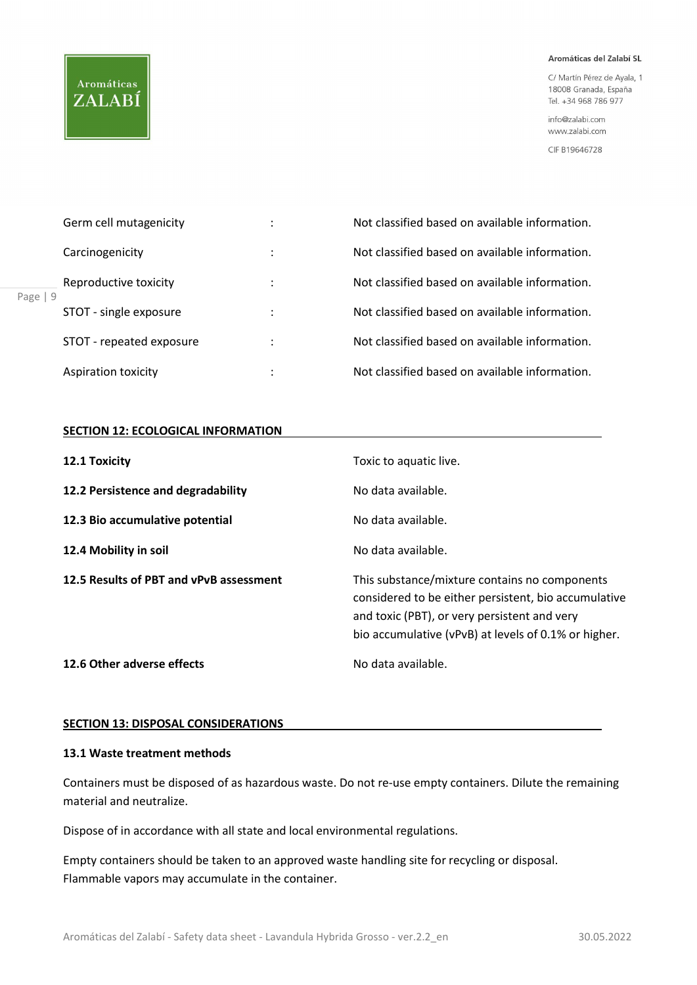# **Aromáticas** ZALABÍ

#### Aromáticas del Zalabí SL

C/ Martín Pérez de Ayala, 1 18008 Granada, España Tel. +34 968 786 977

info@zalabi.com www.zalabi.com

CIF B19646728

| Carcinogenicity<br>Page $ 9$<br>Aspiration toxicity | Germ cell mutagenicity   | ٠ | Not classified based on available information. |
|-----------------------------------------------------|--------------------------|---|------------------------------------------------|
|                                                     |                          | ٠ | Not classified based on available information. |
|                                                     | Reproductive toxicity    |   | Not classified based on available information. |
|                                                     | STOT - single exposure   | ٠ | Not classified based on available information. |
|                                                     | STOT - repeated exposure |   | Not classified based on available information. |
|                                                     |                          |   | Not classified based on available information. |

## SECTION 12: ECOLOGICAL INFORMATION

| 12.1 Toxicity                           | Toxic to aquatic live.                                                                                                                                                                                        |
|-----------------------------------------|---------------------------------------------------------------------------------------------------------------------------------------------------------------------------------------------------------------|
| 12.2 Persistence and degradability      | No data available.                                                                                                                                                                                            |
| 12.3 Bio accumulative potential         | No data available.                                                                                                                                                                                            |
| 12.4 Mobility in soil                   | No data available.                                                                                                                                                                                            |
| 12.5 Results of PBT and vPvB assessment | This substance/mixture contains no components<br>considered to be either persistent, bio accumulative<br>and toxic (PBT), or very persistent and very<br>bio accumulative (vPvB) at levels of 0.1% or higher. |
| 12.6 Other adverse effects              | No data available.                                                                                                                                                                                            |

#### SECTION 13: DISPOSAL CONSIDERATIONS

## 13.1 Waste treatment methods

Containers must be disposed of as hazardous waste. Do not re-use empty containers. Dilute the remaining material and neutralize.

Dispose of in accordance with all state and local environmental regulations.

Empty containers should be taken to an approved waste handling site for recycling or disposal. Flammable vapors may accumulate in the container.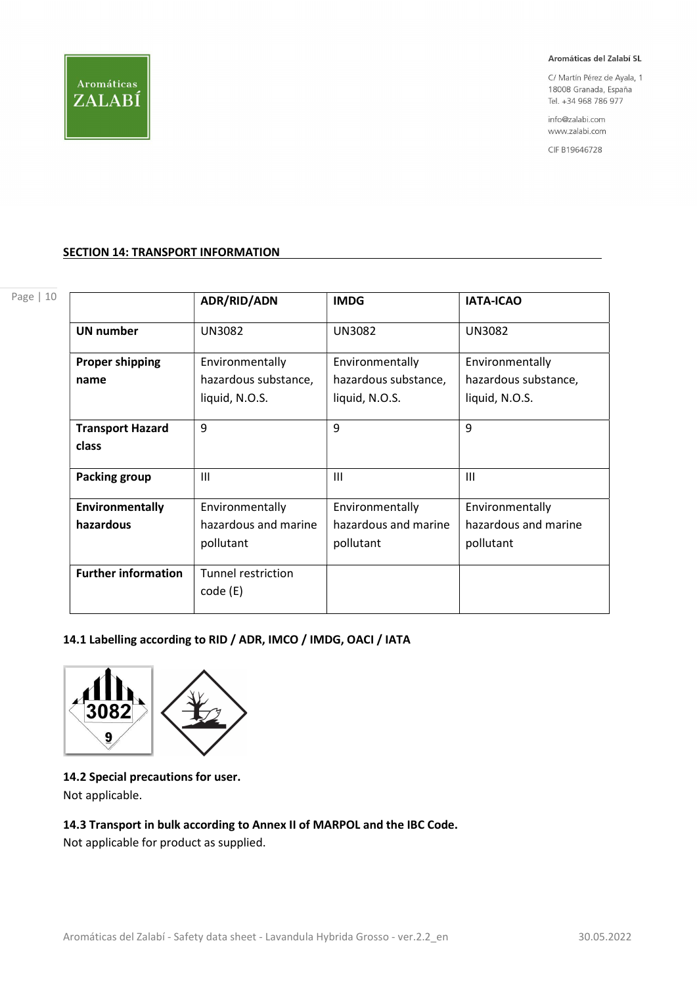

C/ Martín Pérez de Ayala, 1 18008 Granada, España Tel. +34 968 786 977

info@zalabi.com www.zalabi.com

CIF B19646728

## **SECTION 14: TRANSPORT INFORMATION**

|  | t<br>۰. |
|--|---------|
|--|---------|

|                            | <b>ADR/RID/ADN</b>   | <b>IMDG</b>          | <b>IATA-ICAO</b>     |
|----------------------------|----------------------|----------------------|----------------------|
| <b>UN number</b>           | <b>UN3082</b>        | <b>UN3082</b>        | <b>UN3082</b>        |
| <b>Proper shipping</b>     | Environmentally      | Environmentally      | Environmentally      |
| name                       | hazardous substance, | hazardous substance, | hazardous substance, |
|                            | liquid, N.O.S.       | liquid, N.O.S.       | liquid, N.O.S.       |
| <b>Transport Hazard</b>    | 9                    | 9                    | 9                    |
| class                      |                      |                      |                      |
| <b>Packing group</b>       | Ш                    | III                  | Ш                    |
| Environmentally            | Environmentally      | Environmentally      | Environmentally      |
| hazardous                  | hazardous and marine | hazardous and marine | hazardous and marine |
|                            | pollutant            | pollutant            | pollutant            |
| <b>Further information</b> | Tunnel restriction   |                      |                      |
|                            | code (E)             |                      |                      |

# 14.1 Labelling according to RID / ADR, IMCO / IMDG, OACI / IATA



14.2 Special precautions for user. Not applicable.

# 14.3 Transport in bulk according to Annex II of MARPOL and the IBC Code.

Not applicable for product as supplied.